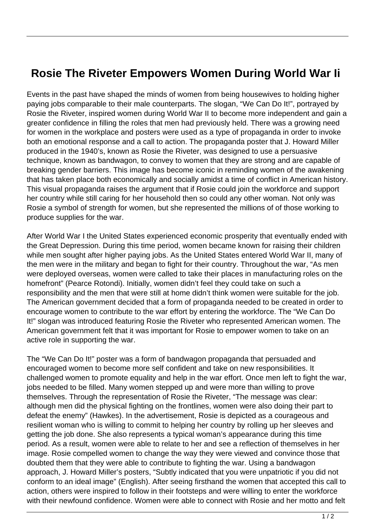## **Rosie The Riveter Empowers Women During World War Ii**

Events in the past have shaped the minds of women from being housewives to holding higher paying jobs comparable to their male counterparts. The slogan, "We Can Do It!", portrayed by Rosie the Riveter, inspired women during World War II to become more independent and gain a greater confidence in filling the roles that men had previously held. There was a growing need for women in the workplace and posters were used as a type of propaganda in order to invoke both an emotional response and a call to action. The propaganda poster that J. Howard Miller produced in the 1940's, known as Rosie the Riveter, was designed to use a persuasive technique, known as bandwagon, to convey to women that they are strong and are capable of breaking gender barriers. This image has become iconic in reminding women of the awakening that has taken place both economically and socially amidst a time of conflict in American history. This visual propaganda raises the argument that if Rosie could join the workforce and support her country while still caring for her household then so could any other woman. Not only was Rosie a symbol of strength for women, but she represented the millions of of those working to produce supplies for the war.

After World War I the United States experienced economic prosperity that eventually ended with the Great Depression. During this time period, women became known for raising their children while men sought after higher paying jobs. As the United States entered World War II, many of the men were in the military and began to fight for their country. Throughout the war, "As men were deployed overseas, women were called to take their places in manufacturing roles on the homefront" (Pearce Rotondi). Initially, women didn't feel they could take on such a responsibility and the men that were still at home didn't think women were suitable for the job. The American government decided that a form of propaganda needed to be created in order to encourage women to contribute to the war effort by entering the workforce. The "We Can Do It!" slogan was introduced featuring Rosie the Riveter who represented American women. The American government felt that it was important for Rosie to empower women to take on an active role in supporting the war.

The "We Can Do It!" poster was a form of bandwagon propaganda that persuaded and encouraged women to become more self confident and take on new responsibilities. It challenged women to promote equality and help in the war effort. Once men left to fight the war, jobs needed to be filled. Many women stepped up and were more than willing to prove themselves. Through the representation of Rosie the Riveter, "The message was clear: although men did the physical fighting on the frontlines, women were also doing their part to defeat the enemy" (Hawkes). In the advertisement, Rosie is depicted as a courageous and resilient woman who is willing to commit to helping her country by rolling up her sleeves and getting the job done. She also represents a typical woman's appearance during this time period. As a result, women were able to relate to her and see a reflection of themselves in her image. Rosie compelled women to change the way they were viewed and convince those that doubted them that they were able to contribute to fighting the war. Using a bandwagon approach, J. Howard Miller's posters, "Subtly indicated that you were unpatriotic if you did not conform to an ideal image" (English). After seeing firsthand the women that accepted this call to action, others were inspired to follow in their footsteps and were willing to enter the workforce with their newfound confidence. Women were able to connect with Rosie and her motto and felt